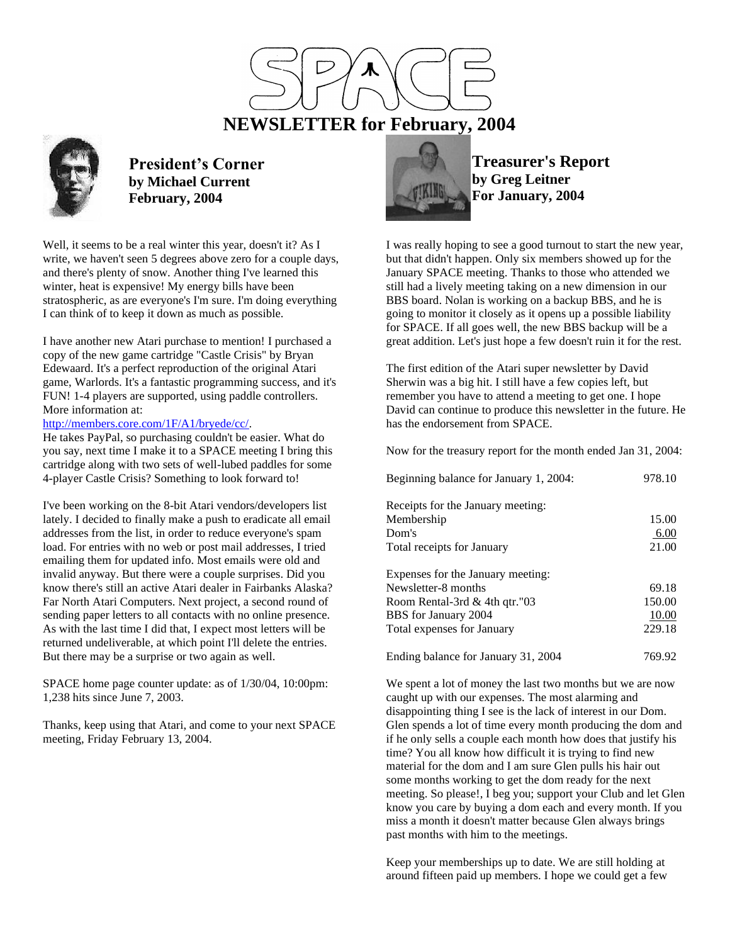

 **NEWSLETTER for February, 2004**



**President's Corner by Michael Current February, 2004**

Well, it seems to be a real winter this year, doesn't it? As I write, we haven't seen 5 degrees above zero for a couple days, and there's plenty of snow. Another thing I've learned this winter, heat is expensive! My energy bills have been stratospheric, as are everyone's I'm sure. I'm doing everything I can think of to keep it down as much as possible.

I have another new Atari purchase to mention! I purchased a copy of the new game cartridge "Castle Crisis" by Bryan Edewaard. It's a perfect reproduction of the original Atari game, Warlords. It's a fantastic programming success, and it's FUN! 1-4 players are supported, using paddle controllers. More information at:

# [http://members.core.com/1F/A1/bryede/cc/.](http://members.core.com/1F/A1/bryede/cc/)

He takes PayPal, so purchasing couldn't be easier. What do you say, next time I make it to a SPACE meeting I bring this cartridge along with two sets of well-lubed paddles for some 4-player Castle Crisis? Something to look forward to!

I've been working on the 8-bit Atari vendors/developers list lately. I decided to finally make a push to eradicate all email addresses from the list, in order to reduce everyone's spam load. For entries with no web or post mail addresses, I tried emailing them for updated info. Most emails were old and invalid anyway. But there were a couple surprises. Did you know there's still an active Atari dealer in Fairbanks Alaska? Far North Atari Computers. Next project, a second round of sending paper letters to all contacts with no online presence. As with the last time I did that, I expect most letters will be returned undeliverable, at which point I'll delete the entries. But there may be a surprise or two again as well.

SPACE home page counter update: as of 1/30/04, 10:00pm: 1,238 hits since June 7, 2003.

Thanks, keep using that Atari, and come to your next SPACE meeting, Friday February 13, 2004.



**Treasurer's Report by Greg Leitner For January, 2004**

I was really hoping to see a good turnout to start the new year, but that didn't happen. Only six members showed up for the January SPACE meeting. Thanks to those who attended we still had a lively meeting taking on a new dimension in our BBS board. Nolan is working on a backup BBS, and he is going to monitor it closely as it opens up a possible liability for SPACE. If all goes well, the new BBS backup will be a great addition. Let's just hope a few doesn't ruin it for the rest.

The first edition of the Atari super newsletter by David Sherwin was a big hit. I still have a few copies left, but remember you have to attend a meeting to get one. I hope David can continue to produce this newsletter in the future. He has the endorsement from SPACE.

Now for the treasury report for the month ended Jan 31, 2004:

| Beginning balance for January 1, 2004: | 978.10 |
|----------------------------------------|--------|
| Receipts for the January meeting:      |        |
| Membership                             | 15.00  |
| Dom's                                  | 6.00   |
| Total receipts for January             | 21.00  |
| Expenses for the January meeting:      |        |
| Newsletter-8 months                    | 69.18  |
| Room Rental-3rd $&$ 4th gtr."03        | 150.00 |
| BBS for January 2004                   | 10.00  |
| Total expenses for January             | 229.18 |
| Ending balance for January 31, 2004    | 769.92 |

We spent a lot of money the last two months but we are now caught up with our expenses. The most alarming and disappointing thing I see is the lack of interest in our Dom. Glen spends a lot of time every month producing the dom and if he only sells a couple each month how does that justify his time? You all know how difficult it is trying to find new material for the dom and I am sure Glen pulls his hair out some months working to get the dom ready for the next meeting. So please!, I beg you; support your Club and let Glen know you care by buying a dom each and every month. If you miss a month it doesn't matter because Glen always brings past months with him to the meetings.

Keep your memberships up to date. We are still holding at around fifteen paid up members. I hope we could get a few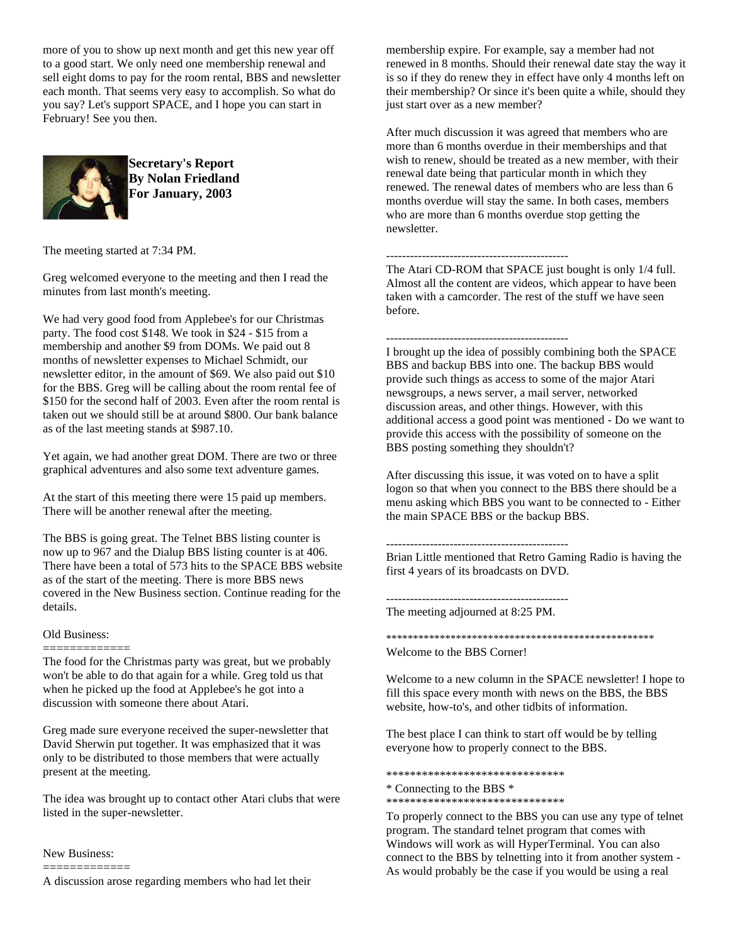more of you to show up next month and get this new year off to a good start. We only need one membership renewal and sell eight doms to pay for the room rental, BBS and newsletter each month. That seems very easy to accomplish. So what do you say? Let's support SPACE, and I hope you can start in February! See you then.



**Secretary's Report By Nolan Friedland For January, 2003**

The meeting started at 7:34 PM.

Greg welcomed everyone to the meeting and then I read the minutes from last month's meeting.

We had very good food from Applebee's for our Christmas party. The food cost \$148. We took in \$24 - \$15 from a membership and another \$9 from DOMs. We paid out 8 months of newsletter expenses to Michael Schmidt, our newsletter editor, in the amount of \$69. We also paid out \$10 for the BBS. Greg will be calling about the room rental fee of \$150 for the second half of 2003. Even after the room rental is taken out we should still be at around \$800. Our bank balance as of the last meeting stands at \$987.10.

Yet again, we had another great DOM. There are two or three graphical adventures and also some text adventure games.

At the start of this meeting there were 15 paid up members. There will be another renewal after the meeting.

The BBS is going great. The Telnet BBS listing counter is now up to 967 and the Dialup BBS listing counter is at 406. There have been a total of 573 hits to the SPACE BBS website as of the start of the meeting. There is more BBS news covered in the New Business section. Continue reading for the details.

# Old Business:

============= The food for the Christmas party was great, but we probably won't be able to do that again for a while. Greg told us that when he picked up the food at Applebee's he got into a discussion with someone there about Atari.

Greg made sure everyone received the super-newsletter that David Sherwin put together. It was emphasized that it was only to be distributed to those members that were actually present at the meeting.

The idea was brought up to contact other Atari clubs that were listed in the super-newsletter.

New Business: =============

A discussion arose regarding members who had let their

membership expire. For example, say a member had not renewed in 8 months. Should their renewal date stay the way it is so if they do renew they in effect have only 4 months left on their membership? Or since it's been quite a while, should they just start over as a new member?

After much discussion it was agreed that members who are more than 6 months overdue in their memberships and that wish to renew, should be treated as a new member, with their renewal date being that particular month in which they renewed. The renewal dates of members who are less than 6 months overdue will stay the same. In both cases, members who are more than 6 months overdue stop getting the newsletter.

# ----------------------------------------------

The Atari CD-ROM that SPACE just bought is only 1/4 full. Almost all the content are videos, which appear to have been taken with a camcorder. The rest of the stuff we have seen before.

----------------------------------------------

I brought up the idea of possibly combining both the SPACE BBS and backup BBS into one. The backup BBS would provide such things as access to some of the major Atari newsgroups, a news server, a mail server, networked discussion areas, and other things. However, with this additional access a good point was mentioned - Do we want to provide this access with the possibility of someone on the BBS posting something they shouldn't?

After discussing this issue, it was voted on to have a split logon so that when you connect to the BBS there should be a menu asking which BBS you want to be connected to - Either the main SPACE BBS or the backup BBS.

----------------------------------------------

Brian Little mentioned that Retro Gaming Radio is having the first 4 years of its broadcasts on DVD.

----------------------------------------------

The meeting adjourned at 8:25 PM.

### \*\*\*\*\*\*\*\*\*\*\*\*\*\*\*\*\*\*\*\*\*\*\*\*\*\*\*\*\*\*\*\*\*\*\*\*\*\*\*\*\*\*\*\*\*\*\*\*\*\*

Welcome to the BBS Corner!

Welcome to a new column in the SPACE newsletter! I hope to fill this space every month with news on the BBS, the BBS website, how-to's, and other tidbits of information.

The best place I can think to start off would be by telling everyone how to properly connect to the BBS.

\*\*\*\*\*\*\*\*\*\*\*\*\*\*\*\*\*\*\*\*\*\*\*\*\*\*\*\*\*\*

\* Connecting to the BBS \*

\*\*\*\*\*\*\*\*\*\*\*\*\*\*\*\*\*\*\*\*\*\*\*\*\*\*\*\*\*\*

To properly connect to the BBS you can use any type of telnet program. The standard telnet program that comes with Windows will work as will HyperTerminal. You can also connect to the BBS by telnetting into it from another system - As would probably be the case if you would be using a real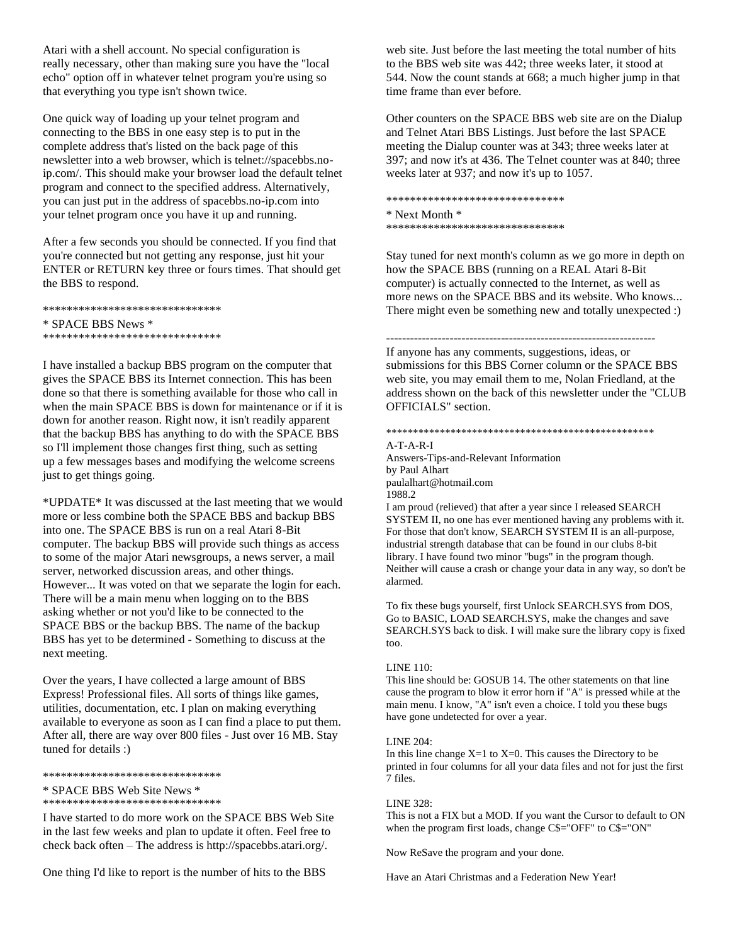Atari with a shell account. No special configuration is really necessary, other than making sure you have the "local echo" option off in whatever telnet program you're using so that everything you type isn't shown twice.

One quick way of loading up your telnet program and connecting to the BBS in one easy step is to put in the complete address that's listed on the back page of this newsletter into a web browser, which is telnet://spacebbs.noip.com/. This should make your browser load the default telnet program and connect to the specified address. Alternatively, you can just put in the address of spacebbs.no-ip.com into your telnet program once you have it up and running.

After a few seconds you should be connected. If you find that you're connected but not getting any response, just hit your ENTER or RETURN key three or fours times. That should get the BBS to respond.

\*\*\*\*\*\*\*\*\*\*\*\*\*\*\*\*\*\*\*\*\*\*\*\*\*\*\*\*\*\* \* SPACE BBS News \* \*\*\*\*\*\*\*\*\*\*\*\*\*\*\*\*\*\*\*\*\*\*\*\*\*\*\*\*\*\*

I have installed a backup BBS program on the computer that gives the SPACE BBS its Internet connection. This has been done so that there is something available for those who call in when the main SPACE BBS is down for maintenance or if it is down for another reason. Right now, it isn't readily apparent that the backup BBS has anything to do with the SPACE BBS so I'll implement those changes first thing, such as setting up a few messages bases and modifying the welcome screens just to get things going.

\*UPDATE\* It was discussed at the last meeting that we would more or less combine both the SPACE BBS and backup BBS into one. The SPACE BBS is run on a real Atari 8-Bit computer. The backup BBS will provide such things as access to some of the major Atari newsgroups, a news server, a mail server, networked discussion areas, and other things. However... It was voted on that we separate the login for each. There will be a main menu when logging on to the BBS asking whether or not you'd like to be connected to the SPACE BBS or the backup BBS. The name of the backup BBS has yet to be determined - Something to discuss at the next meeting.

Over the years, I have collected a large amount of BBS Express! Professional files. All sorts of things like games, utilities, documentation, etc. I plan on making everything available to everyone as soon as I can find a place to put them. After all, there are way over 800 files - Just over 16 MB. Stay tuned for details :)

\*\*\*\*\*\*\*\*\*\*\*\*\*\*\*\*\*\*\*\*\*\*\*\*\*\*\*\*\*\*

\* SPACE BBS Web Site News \*

\*\*\*\*\*\*\*\*\*\*\*\*\*\*\*\*\*\*\*\*\*\*\*\*\*\*\*\*\*\*

I have started to do more work on the SPACE BBS Web Site in the last few weeks and plan to update it often. Feel free to check back often – The address is http://spacebbs.atari.org/.

One thing I'd like to report is the number of hits to the BBS

web site. Just before the last meeting the total number of hits to the BBS web site was 442; three weeks later, it stood at 544. Now the count stands at 668; a much higher jump in that time frame than ever before.

Other counters on the SPACE BBS web site are on the Dialup and Telnet Atari BBS Listings. Just before the last SPACE meeting the Dialup counter was at 343; three weeks later at 397; and now it's at 436. The Telnet counter was at 840; three weeks later at 937; and now it's up to 1057.

\*\*\*\*\*\*\*\*\*\*\*\*\*\*\*\*\*\*\*\*\*\*\*\*\*\*\*\*\*\* \* Next Month \* \*\*\*\*\*\*\*\*\*\*\*\*\*\*\*\*\*\*\*\*\*\*\*\*\*\*\*\*\*\*

Stay tuned for next month's column as we go more in depth on how the SPACE BBS (running on a REAL Atari 8-Bit computer) is actually connected to the Internet, as well as more news on the SPACE BBS and its website. Who knows... There might even be something new and totally unexpected :)

-------------------------------------------------------------------- If anyone has any comments, suggestions, ideas, or submissions for this BBS Corner column or the SPACE BBS web site, you may email them to me, Nolan Friedland, at the address shown on the back of this newsletter under the "CLUB OFFICIALS" section.

### \*\*\*\*\*\*\*\*\*\*\*\*\*\*\*\*\*\*\*\*\*\*\*\*\*\*\*\*\*\*\*\*\*\*\*\*\*\*\*\*\*\*\*\*\*\*\*\*\*\*

A-T-A-R-I

Answers-Tips-and-Relevant Information by Paul Alhart paulalhart@hotmail.com 1988.2 I am proud (relieved) that after a year since I released SEARCH

SYSTEM II, no one has ever mentioned having any problems with it. For those that don't know, SEARCH SYSTEM II is an all-purpose, industrial strength database that can be found in our clubs 8-bit library. I have found two minor "bugs" in the program though. Neither will cause a crash or change your data in any way, so don't be alarmed.

To fix these bugs yourself, first Unlock SEARCH.SYS from DOS, Go to BASIC, LOAD SEARCH.SYS, make the changes and save SEARCH.SYS back to disk. I will make sure the library copy is fixed too.

## LINE 110:

This line should be: GOSUB 14. The other statements on that line cause the program to blow it error horn if "A" is pressed while at the main menu. I know, "A" isn't even a choice. I told you these bugs have gone undetected for over a year.

### LINE 204:

In this line change  $X=1$  to  $X=0$ . This causes the Directory to be printed in four columns for all your data files and not for just the first 7 files.

### LINE 328:

This is not a FIX but a MOD. If you want the Cursor to default to ON when the program first loads, change C\$="OFF" to C\$="ON"

Now ReSave the program and your done.

Have an Atari Christmas and a Federation New Year!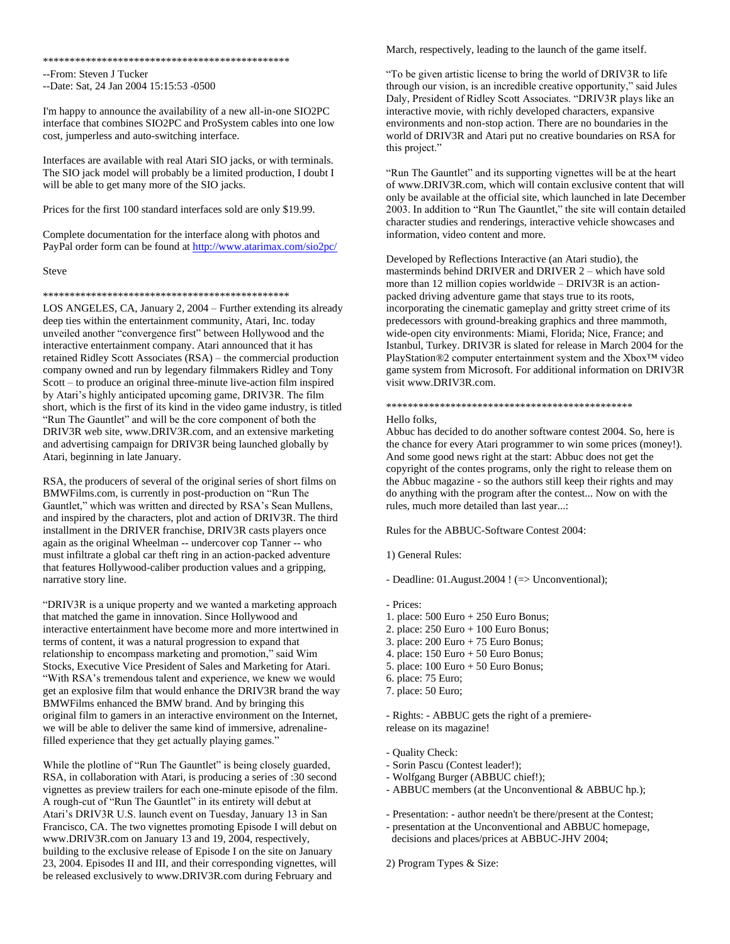\*\*\*\*\*\*\*\*\*\*\*\*\*\*\*\*\*\*\*\*\*\*\*\*\*\*\*\*\*\*\*\*\*\*\*\*\*\*\*\*\*\*\*\*\*\*

--From: Steven J Tucker

--Date: Sat, 24 Jan 2004 15:15:53 -0500

I'm happy to announce the availability of a new all-in-one SIO2PC interface that combines SIO2PC and ProSystem cables into one low cost, jumperless and auto-switching interface.

Interfaces are available with real Atari SIO jacks, or with terminals. The SIO jack model will probably be a limited production, I doubt I will be able to get many more of the SIO jacks.

Prices for the first 100 standard interfaces sold are only \$19.99.

Complete documentation for the interface along with photos and PayPal order form can be found a[t http://www.atarimax.com/sio2pc/](http://www.atarimax.com/sio2pc/)

#### Steve

### \*\*\*\*\*\*\*\*\*\*\*\*\*\*\*\*\*\*\*\*\*\*\*\*\*\*\*\*\*\*\*\*\*\*\*\*\*\*\*\*\*\*\*\*\*\*

LOS ANGELES, CA, January 2, 2004 – Further extending its already deep ties within the entertainment community, Atari, Inc. today unveiled another "convergence first" between Hollywood and the interactive entertainment company. Atari announced that it has retained Ridley Scott Associates (RSA) – the commercial production company owned and run by legendary filmmakers Ridley and Tony Scott – to produce an original three-minute live-action film inspired by Atari's highly anticipated upcoming game, DRIV3R. The film short, which is the first of its kind in the video game industry, is titled "Run The Gauntlet" and will be the core component of both the DRIV3R web site, www.DRIV3R.com, and an extensive marketing and advertising campaign for DRIV3R being launched globally by Atari, beginning in late January.

RSA, the producers of several of the original series of short films on BMWFilms.com, is currently in post-production on "Run The Gauntlet," which was written and directed by RSA's Sean Mullens, and inspired by the characters, plot and action of DRIV3R. The third installment in the DRIVER franchise, DRIV3R casts players once again as the original Wheelman -- undercover cop Tanner -- who must infiltrate a global car theft ring in an action-packed adventure that features Hollywood-caliber production values and a gripping, narrative story line.

"DRIV3R is a unique property and we wanted a marketing approach that matched the game in innovation. Since Hollywood and interactive entertainment have become more and more intertwined in terms of content, it was a natural progression to expand that relationship to encompass marketing and promotion," said Wim Stocks, Executive Vice President of Sales and Marketing for Atari. "With RSA's tremendous talent and experience, we knew we would get an explosive film that would enhance the DRIV3R brand the way BMWFilms enhanced the BMW brand. And by bringing this original film to gamers in an interactive environment on the Internet, we will be able to deliver the same kind of immersive, adrenalinefilled experience that they get actually playing games."

While the plotline of "Run The Gauntlet" is being closely guarded, RSA, in collaboration with Atari, is producing a series of :30 second vignettes as preview trailers for each one-minute episode of the film. A rough-cut of "Run The Gauntlet" in its entirety will debut at Atari's DRIV3R U.S. launch event on Tuesday, January 13 in San Francisco, CA. The two vignettes promoting Episode I will debut on www.DRIV3R.com on January 13 and 19, 2004, respectively, building to the exclusive release of Episode I on the site on January 23, 2004. Episodes II and III, and their corresponding vignettes, will be released exclusively to www.DRIV3R.com during February and

March, respectively, leading to the launch of the game itself.

"To be given artistic license to bring the world of DRIV3R to life through our vision, is an incredible creative opportunity," said Jules Daly, President of Ridley Scott Associates. "DRIV3R plays like an interactive movie, with richly developed characters, expansive environments and non-stop action. There are no boundaries in the world of DRIV3R and Atari put no creative boundaries on RSA for this project."

"Run The Gauntlet" and its supporting vignettes will be at the heart of www.DRIV3R.com, which will contain exclusive content that will only be available at the official site, which launched in late December 2003. In addition to "Run The Gauntlet," the site will contain detailed character studies and renderings, interactive vehicle showcases and information, video content and more.

Developed by Reflections Interactive (an Atari studio), the masterminds behind DRIVER and DRIVER 2 – which have sold more than 12 million copies worldwide – DRIV3R is an actionpacked driving adventure game that stays true to its roots, incorporating the cinematic gameplay and gritty street crime of its predecessors with ground-breaking graphics and three mammoth, wide-open city environments: Miami, Florida; Nice, France; and Istanbul, Turkey. DRIV3R is slated for release in March 2004 for the PlayStation®2 computer entertainment system and the Xbox™ video game system from Microsoft. For additional information on DRIV3R visit www.DRIV3R.com.

# \*\*\*\*\*\*\*\*\*\*\*\*\*\*\*\*\*\*\*\*\*\*\*\*\*\*\*\*\*\*\*\*\*\*\*\*\*\*\*\*\*\*\*\*\*\*

## Hello folks,

Abbuc has decided to do another software contest 2004. So, here is the chance for every Atari programmer to win some prices (money!). And some good news right at the start: Abbuc does not get the copyright of the contes programs, only the right to release them on the Abbuc magazine - so the authors still keep their rights and may do anything with the program after the contest... Now on with the rules, much more detailed than last year...:

Rules for the ABBUC-Software Contest 2004:

### 1) General Rules:

- Deadline: 01.August.2004 ! (=> Unconventional);

- Prices:
- 1. place: 500 Euro + 250 Euro Bonus;
- 2. place: 250 Euro + 100 Euro Bonus;
- 3. place: 200 Euro + 75 Euro Bonus;
- 4. place: 150 Euro + 50 Euro Bonus;
- 5. place: 100 Euro + 50 Euro Bonus;
- 6. place: 75 Euro;
- 7. place: 50 Euro;

- Rights: - ABBUC gets the right of a premiererelease on its magazine!

- Quality Check:
- Sorin Pascu (Contest leader!);
- Wolfgang Burger (ABBUC chief!);
- ABBUC members (at the Unconventional & ABBUC hp.);
- Presentation: author needn't be there/present at the Contest;
- presentation at the Unconventional and ABBUC homepage, decisions and places/prices at ABBUC-JHV 2004;
- 2) Program Types & Size: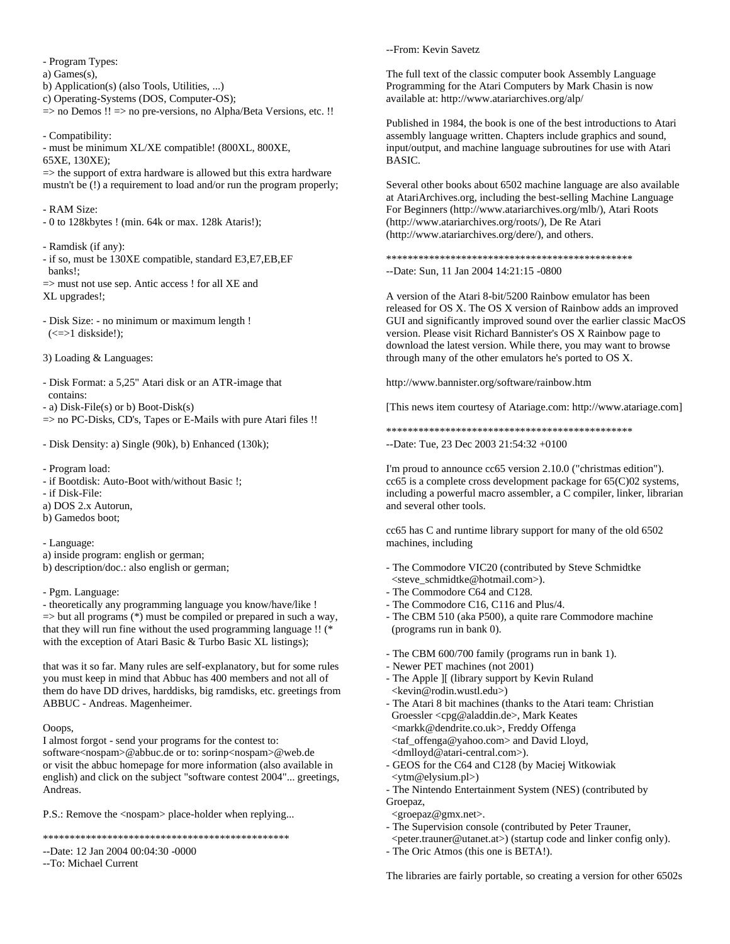- Program Types: a) Games(s), b) Application(s) (also Tools, Utilities, ...) c) Operating-Systems (DOS, Computer-OS); => no Demos !! => no pre-versions, no Alpha/Beta Versions, etc. !!

- Compatibility:

- must be minimum XL/XE compatible! (800XL, 800XE, 65XE, 130XE);

 $\Rightarrow$  the support of extra hardware is allowed but this extra hardware mustn't be (!) a requirement to load and/or run the program properly;

- RAM Size:

- 0 to 128kbytes ! (min. 64k or max. 128k Ataris!);

- Ramdisk (if any):

- if so, must be 130XE compatible, standard E3,E7,EB,EF banks!;

 $\Rightarrow$  must not use sep. Antic access ! for all XE and XL upgrades!;

- Disk Size: - no minimum or maximum length !  $(\leq > 1$  diskside!);

3) Loading & Languages:

- Disk Format: a 5,25" Atari disk or an ATR-image that contains:

- a) Disk-File(s) or b) Boot-Disk(s)

=> no PC-Disks, CD's, Tapes or E-Mails with pure Atari files !!

- Disk Density: a) Single (90k), b) Enhanced (130k);

- Program load:

- if Bootdisk: Auto-Boot with/without Basic !;

- if Disk-File:

a) DOS 2.x Autorun,

b) Gamedos boot;

- Language:

a) inside program: english or german;

b) description/doc.: also english or german;

- Pgm. Language:

- theoretically any programming language you know/have/like !  $\Rightarrow$  but all programs (\*) must be compiled or prepared in such a way, that they will run fine without the used programming language !! (\* with the exception of Atari Basic & Turbo Basic XL listings);

that was it so far. Many rules are self-explanatory, but for some rules you must keep in mind that Abbuc has 400 members and not all of them do have DD drives, harddisks, big ramdisks, etc. greetings from ABBUC - Andreas. Magenheimer.

Ooops,

I almost forgot - send your programs for the contest to: software<nospam>@abbuc.de or to: sorinp<nospam>@web.de or visit the abbuc homepage for more information (also available in english) and click on the subject "software contest 2004"... greetings, Andreas.

P.S.: Remove the <nospam> place-holder when replying...

\*\*\*\*\*\*\*\*\*\*\*\*\*\*\*\*\*\*\*\*\*\*\*\*\*\*\*\*\*\*\*\*\*\*\*\*\*\*\*\*\*\*\*\*\*\*

### --Date: 12 Jan 2004 00:04:30 -0000

--To: Michael Current

--From: Kevin Savetz

The full text of the classic computer book Assembly Language Programming for the Atari Computers by Mark Chasin is now available at: http://www.atariarchives.org/alp/

Published in 1984, the book is one of the best introductions to Atari assembly language written. Chapters include graphics and sound, input/output, and machine language subroutines for use with Atari BASIC.

Several other books about 6502 machine language are also available at AtariArchives.org, including the best-selling Machine Language For Beginners (http://www.atariarchives.org/mlb/), Atari Roots (http://www.atariarchives.org/roots/), De Re Atari (http://www.atariarchives.org/dere/), and others.

\*\*\*\*\*\*\*\*\*\*\*\*\*\*\*\*\*\*\*\*\*\*\*\*\*\*\*\*\*\*\*\*\*\*\*\*\*\*\*\*\*\*\*\*\*\* --Date: Sun, 11 Jan 2004 14:21:15 -0800

A version of the Atari 8-bit/5200 Rainbow emulator has been released for OS X. The OS X version of Rainbow adds an improved GUI and significantly improved sound over the earlier classic MacOS version. Please visit Richard Bannister's OS X Rainbow page to download the latest version. While there, you may want to browse through many of the other emulators he's ported to OS X.

http://www.bannister.org/software/rainbow.htm

[This news item courtesy of Atariage.com: http://www.atariage.com]

\*\*\*\*\*\*\*\*\*\*\*\*\*\*\*\*\*\*\*\*\*\*\*\*\*\*\*\*\*\*\*\*\*\*\*\*\*\*\*\*\*\*\*\*\*\*

--Date: Tue, 23 Dec 2003 21:54:32 +0100

I'm proud to announce cc65 version 2.10.0 ("christmas edition").  $cc65$  is a complete cross development package for  $65(C)02$  systems, including a powerful macro assembler, a C compiler, linker, librarian and several other tools.

cc65 has C and runtime library support for many of the old 6502 machines, including

- The Commodore VIC20 (contributed by Steve Schmidtke <steve\_schmidtke@hotmail.com>).
- The Commodore C64 and C128.
- The Commodore C16, C116 and Plus/4.
- The CBM 510 (aka P500), a quite rare Commodore machine (programs run in bank 0).
- The CBM 600/700 family (programs run in bank 1).
- Newer PET machines (not 2001)
- The Apple ][ (library support by Kevin Ruland <kevin@rodin.wustl.edu>)
- The Atari 8 bit machines (thanks to the Atari team: Christian Groessler <cpg@aladdin.de>, Mark Keates <markk@dendrite.co.uk>, Freddy Offenga <taf\_offenga@yahoo.com> and David Lloyd, <dmlloyd@atari-central.com>).
- GEOS for the C64 and C128 (by Maciej Witkowiak <ytm@elysium.pl>)
- The Nintendo Entertainment System (NES) (contributed by Groepaz,

<groepaz@gmx.net>.

- The Supervision console (contributed by Peter Trauner,
- <peter.trauner@utanet.at>) (startup code and linker config only).
- The Oric Atmos (this one is BETA!).

The libraries are fairly portable, so creating a version for other 6502s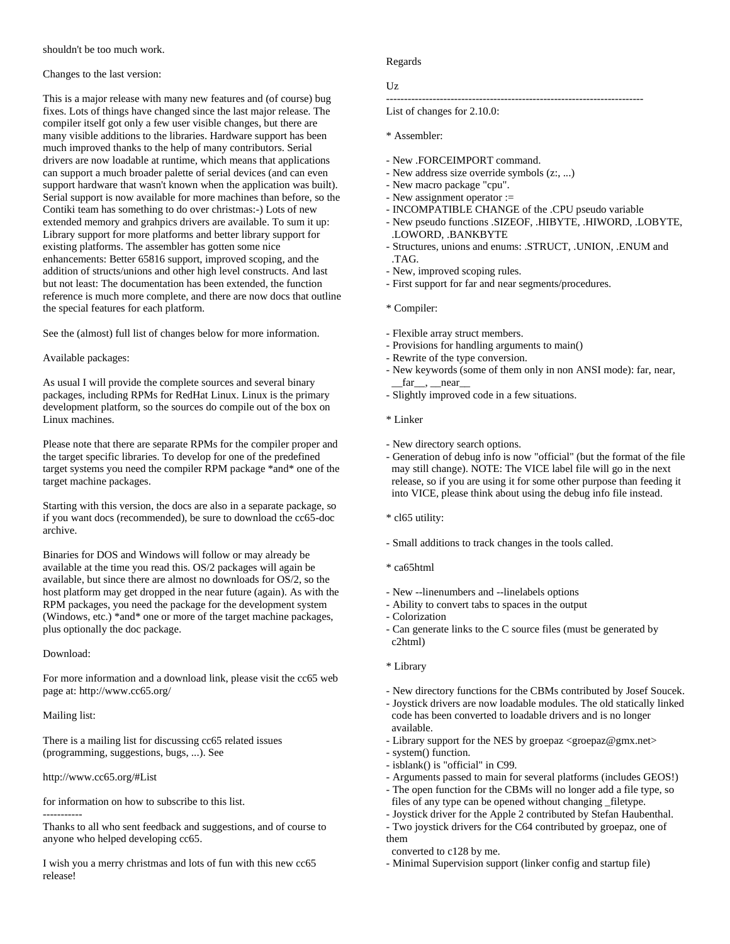shouldn't be too much work.

## Changes to the last version:

This is a major release with many new features and (of course) bug fixes. Lots of things have changed since the last major release. The compiler itself got only a few user visible changes, but there are many visible additions to the libraries. Hardware support has been much improved thanks to the help of many contributors. Serial drivers are now loadable at runtime, which means that applications can support a much broader palette of serial devices (and can even support hardware that wasn't known when the application was built). Serial support is now available for more machines than before, so the Contiki team has something to do over christmas:-) Lots of new extended memory and grahpics drivers are available. To sum it up: Library support for more platforms and better library support for existing platforms. The assembler has gotten some nice enhancements: Better 65816 support, improved scoping, and the addition of structs/unions and other high level constructs. And last but not least: The documentation has been extended, the function reference is much more complete, and there are now docs that outline the special features for each platform.

See the (almost) full list of changes below for more information.

# Available packages:

As usual I will provide the complete sources and several binary packages, including RPMs for RedHat Linux. Linux is the primary development platform, so the sources do compile out of the box on Linux machines.

Please note that there are separate RPMs for the compiler proper and the target specific libraries. To develop for one of the predefined target systems you need the compiler RPM package \*and\* one of the target machine packages.

Starting with this version, the docs are also in a separate package, so if you want docs (recommended), be sure to download the cc65-doc archive.

Binaries for DOS and Windows will follow or may already be available at the time you read this. OS/2 packages will again be available, but since there are almost no downloads for OS/2, so the host platform may get dropped in the near future (again). As with the RPM packages, you need the package for the development system (Windows, etc.) \*and\* one or more of the target machine packages, plus optionally the doc package.

Download:

For more information and a download link, please visit the cc65 web page at: http://www.cc65.org/

Mailing list:

There is a mailing list for discussing cc65 related issues (programming, suggestions, bugs, ...). See

http://www.cc65.org/#List

for information on how to subscribe to this list.

----------- Thanks to all who sent feedback and suggestions, and of course to anyone who helped developing cc65.

I wish you a merry christmas and lots of fun with this new cc65 release!

# Regards

# Uz

------------------------------------------------------------------------

List of changes for 2.10.0:

- \* Assembler:
- New .FORCEIMPORT command.
- New address size override symbols (z:, ...)
- New macro package "cpu".
- New assignment operator :=
- INCOMPATIBLE CHANGE of the .CPU pseudo variable
- New pseudo functions .SIZEOF, .HIBYTE, .HIWORD, .LOBYTE, .LOWORD, .BANKBYTE
- Structures, unions and enums: .STRUCT, .UNION, .ENUM and .TAG.
- New, improved scoping rules.
- First support for far and near segments/procedures.
- \* Compiler:
- Flexible array struct members.
- Provisions for handling arguments to main()
- Rewrite of the type conversion.
- New keywords (some of them only in non ANSI mode): far, near,  $far$ <sub>\_\_</sub>, \_\_\_near\_\_
- Slightly improved code in a few situations.
- \* Linker
- New directory search options.
- Generation of debug info is now "official" (but the format of the file may still change). NOTE: The VICE label file will go in the next release, so if you are using it for some other purpose than feeding it into VICE, please think about using the debug info file instead.
- \* cl65 utility:
- Small additions to track changes in the tools called.
- \* ca65html
- New --linenumbers and --linelabels options
- Ability to convert tabs to spaces in the output
- Colorization
- Can generate links to the C source files (must be generated by c2html)
- \* Library
- New directory functions for the CBMs contributed by Josef Soucek.
- Joystick drivers are now loadable modules. The old statically linked code has been converted to loadable drivers and is no longer available.
- Library support for the NES by groepaz <groepaz@gmx.net>
- system() function.
- isblank() is "official" in C99.
- Arguments passed to main for several platforms (includes GEOS!)
- The open function for the CBMs will no longer add a file type, so files of any type can be opened without changing \_filetype.
- Joystick driver for the Apple 2 contributed by Stefan Haubenthal.
- Two joystick drivers for the C64 contributed by groepaz, one of them
- converted to c128 by me.
- Minimal Supervision support (linker config and startup file)